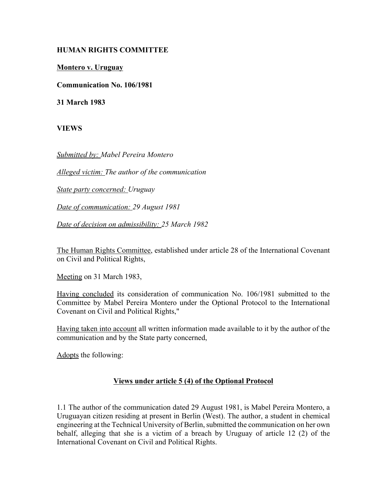## **HUMAN RIGHTS COMMITTEE**

**Montero v. Uruguay**

**Communication No. 106/1981**

**31 March 1983**

**VIEWS**

*Submitted by: Mabel Pereira Montero* 

*Alleged victim: The author of the communication* 

*State party concerned: Uruguay* 

*Date of communication: 29 August 1981* 

*Date of decision on admissibility: 25 March 1982*

The Human Rights Committee, established under article 28 of the International Covenant on Civil and Political Rights,

Meeting on 31 March 1983,

Having concluded its consideration of communication No. 106/1981 submitted to the Committee by Mabel Pereira Montero under the Optional Protocol to the International Covenant on Civil and Political Rights,"

Having taken into account all written information made available to it by the author of the communication and by the State party concerned,

Adopts the following:

## **Views under article 5 (4) of the Optional Protocol**

1.1 The author of the communication dated 29 August 1981, is Mabel Pereira Montero, a Uruguayan citizen residing at present in Berlin (West). The author, a student in chemical engineering at the Technical University of Berlin, submitted the communication on her own behalf, alleging that she is a victim of a breach by Uruguay of article 12 (2) of the International Covenant on Civil and Political Rights.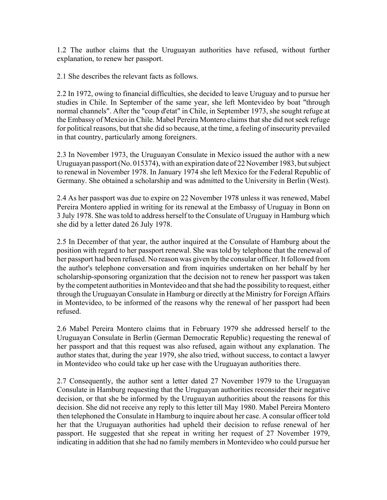1.2 The author claims that the Uruguayan authorities have refused, without further explanation, to renew her passport.

2.1 She describes the relevant facts as follows.

2.2 In 1972, owing to financial difficulties, she decided to leave Uruguay and to pursue her studies in Chile. In September of the same year, she left Montevideo by boat "through normal channels". After the "coup d'etat" in Chile, in September 1973, she sought refuge at the Embassy of Mexico in Chile. Mabel Pereira Montero claims that she did not seek refuge for political reasons, but that she did so because, at the time, a feeling of insecurity prevailed in that country, particularly among foreigners.

2.3 In November 1973, the Uruguayan Consulate in Mexico issued the author with a new Uruguayan passport (No. 015374), with an expiration date of 22 November 1983, but subject to renewal in November 1978. In January 1974 she left Mexico for the Federal Republic of Germany. She obtained a scholarship and was admitted to the University in Berlin (West).

2.4 As her passport was due to expire on 22 November 1978 unless it was renewed, Mabel Pereira Montero applied in writing for its renewal at the Embassy of Uruguay in Bonn on 3 July 1978. She was told to address herself to the Consulate of Uruguay in Hamburg which she did by a letter dated 26 July 1978.

2.5 In December of that year, the author inquired at the Consulate of Hamburg about the position with regard to her passport renewal. She was told by telephone that the renewal of her passport had been refused. No reason was given by the consular officer. It followed from the author's telephone conversation and from inquiries undertaken on her behalf by her scholarship-sponsoring organization that the decision not to renew her passport was taken by the competent authorities in Montevideo and that she had the possibility to request, either through the Uruguayan Consulate in Hamburg or directly at the Ministry for Foreign Affairs in Montevideo, to be informed of the reasons why the renewal of her passport had been refused.

2.6 Mabel Pereira Montero claims that in February 1979 she addressed herself to the Uruguayan Consulate in Berlin (German Democratic Republic) requesting the renewal of her passport and that this request was also refused, again without any explanation. The author states that, during the year 1979, she also tried, without success, to contact a lawyer in Montevideo who could take up her case with the Uruguayan authorities there.

2.7 Consequently, the author sent a letter dated 27 November 1979 to the Uruguayan Consulate in Hamburg requesting that the Uruguayan authorities reconsider their negative decision, or that she be informed by the Uruguayan authorities about the reasons for this decision. She did not receive any reply to this letter till May 1980. Mabel Pereira Montero then telephoned the Consulate in Hamburg to inquire about her case. A consular officer told her that the Uruguayan authorities had upheld their decision to refuse renewal of her passport. He suggested that she repeat in writing her request of 27 November 1979, indicating in addition that she had no family members in Montevideo who could pursue her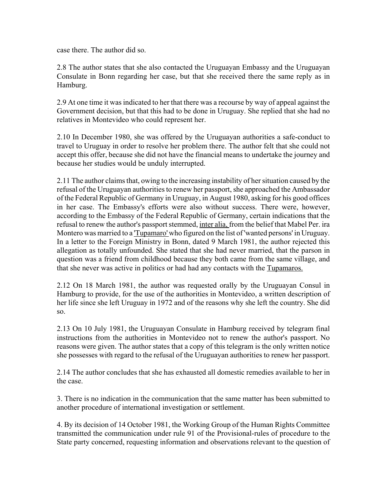case there. The author did so.

2.8 The author states that she also contacted the Uruguayan Embassy and the Uruguayan Consulate in Bonn regarding her case, but that she received there the same reply as in Hamburg.

2.9 At one time it was indicated to her that there was a recourse by way of appeal against the Government decision, but that this had to be done in Uruguay. She replied that she had no relatives in Montevideo who could represent her.

2.10 In December 1980, she was offered by the Uruguayan authorities a safe-conduct to travel to Uruguay in order to resolve her problem there. The author felt that she could not accept this offer, because she did not have the financial means to undertake the journey and because her studies would be unduly interrupted.

2.11 The author claims that, owing to the increasing instability of her situation caused by the refusal of the Uruguayan authorities to renew her passport, she approached the Ambassador of the Federal Republic of Germany in Uruguay, in August 1980, asking for his good offices in her case. The Embassy's efforts were also without success. There were, however, according to the Embassy of the Federal Republic of Germany, certain indications that the refusal to renew the author's passport stemmed, inter alia, from the belief that Mabel Per. ira Montero was married to a 'Tupamaro' who figured on the list of 'wanted persons' in Uruguay. In a letter to the Foreign Ministry in Bonn, dated 9 March 1981, the author rejected this allegation as totally unfounded. She stated that she had never married, that the parson in question was a friend from childhood because they both came from the same village, and that she never was active in politics or had had any contacts with the Tupamaros.

2.12 On 18 March 1981, the author was requested orally by the Uruguayan Consul in Hamburg to provide, for the use of the authorities in Montevideo, a written description of her life since she left Uruguay in 1972 and of the reasons why she left the country. She did so.

2.13 On 10 July 1981, the Uruguayan Consulate in Hamburg received by telegram final instructions from the authorities in Montevideo not to renew the author's passport. No reasons were given. The author states that a copy of this telegram is the only written notice she possesses with regard to the refusal of the Uruguayan authorities to renew her passport.

2.14 The author concludes that she has exhausted all domestic remedies available to her in the case.

3. There is no indication in the communication that the same matter has been submitted to another procedure of international investigation or settlement.

4. By its decision of 14 October 1981, the Working Group of the Human Rights Committee transmitted the communication under rule 91 of the Provisional-rules of procedure to the State party concerned, requesting information and observations relevant to the question of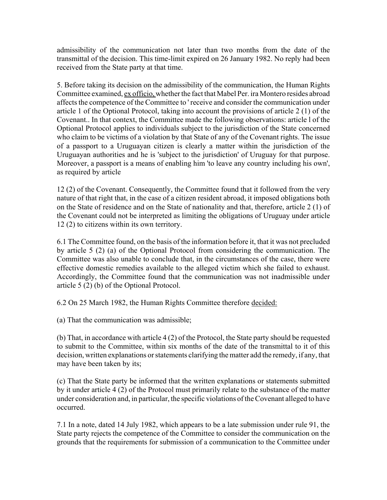admissibility of the communication not later than two months from the date of the transmittal of the decision. This time-limit expired on 26 January 1982. No reply had been received from the State party at that time.

5. Before taking its decision on the admissibility of the communication, the Human Rights Committee examined, ex officio, whether the fact that Mabel Per. ira Montero resides abroad affects the competence of the Committee to ' receive and consider the communication under article 1 of the Optional Protocol, taking into account the provisions of article 2 (1) of the Covenant.. In that context, the Committee made the following observations: article l of the Optional Protocol applies to individuals subject to the jurisdiction of the State concerned who claim to be victims of a violation by that State of any of the Covenant rights. The issue of a passport to a Uruguayan citizen is clearly a matter within the jurisdiction of the Uruguayan authorities and he is 'subject to the jurisdiction' of Uruguay for that purpose. Moreover, a passport is a means of enabling him 'to leave any country including his own', as required by article

12 (2) of the Covenant. Consequently, the Committee found that it followed from the very nature of that right that, in the case of a citizen resident abroad, it imposed obligations both on the State of residence and on the State of nationality and that, therefore, article 2 (1) of the Covenant could not be interpreted as limiting the obligations of Uruguay under article 12 (2) to citizens within its own territory.

6.1 The Committee found, on the basis of the information before it, that it was not precluded by article 5 (2) (a) of the Optional Protocol from considering the communication. The Committee was also unable to conclude that, in the circumstances of the case, there were effective domestic remedies available to the alleged victim which she failed to exhaust. Accordingly, the Committee found that the communication was not inadmissible under article 5 (2) (b) of the Optional Protocol.

6.2 On 25 March 1982, the Human Rights Committee therefore decided:

(a) That the communication was admissible;

(b) That, in accordance with article 4 (2) of the Protocol, the State party should be requested to submit to the Committee, within six months of the date of the transmittal to it of this decision, written explanations or statements clarifying the matter add the remedy, if any, that may have been taken by its;

(c) That the State party be informed that the written explanations or statements submitted by it under article 4 (2) of the Protocol must primarily relate to the substance of the matter under consideration and, in particular, the specific violations of the Covenant alleged to have occurred.

7.1 In a note, dated 14 July 1982, which appears to be a late submission under rule 91, the State party rejects the competence of the Committee to consider the communication on the grounds that the requirements for submission of a communication to the Committee under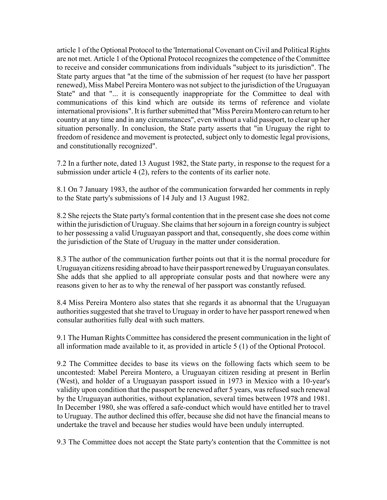article 1 of the Optional Protocol to the 'International Covenant on Civil and Political Rights are not met. Article 1 of the Optional Protocol recognizes the competence of the Committee to receive and consider communications from individuals "subject to its jurisdiction". The State party argues that "at the time of the submission of her request (to have her passport renewed), Miss Mabel Pereira Montero was not subject to the jurisdiction of the Uruguayan State" and that "... it is consequently inappropriate for the Committee to deal with communications of this kind which are outside its terms of reference and violate international provisions". It is further submitted that "Miss Pereira Montero can return to her country at any time and in any circumstances", even without a valid passport, to clear up her situation personally. In conclusion, the State party asserts that "in Uruguay the right to freedom of residence and movement is protected, subject only to domestic legal provisions, and constitutionally recognized".

7.2 In a further note, dated 13 August 1982, the State party, in response to the request for a submission under article 4 (2), refers to the contents of its earlier note.

8.1 On 7 January 1983, the author of the communication forwarded her comments in reply to the State party's submissions of 14 July and 13 August 1982.

8.2 She rejects the State party's formal contention that in the present case she does not come within the jurisdiction of Uruguay. She claims that her sojourn in a foreign country is subject to her possessing a valid Uruguayan passport and that, consequently, she does come within the jurisdiction of the State of Uruguay in the matter under consideration.

8.3 The author of the communication further points out that it is the normal procedure for Uruguayan citizens residing abroad to have their passport renewed by Uruguayan consulates. She adds that she applied to all appropriate consular posts and that nowhere were any reasons given to her as to why the renewal of her passport was constantly refused.

8.4 Miss Pereira Montero also states that she regards it as abnormal that the Uruguayan authorities suggested that she travel to Uruguay in order to have her passport renewed when consular authorities fully deal with such matters.

9.1 The Human Rights Committee has considered the present communication in the light of all information made available to it, as provided in article 5 (1) of the Optional Protocol.

9.2 The Committee decides to base its views on the following facts which seem to be uncontested: Mabel Pereira Montero, a Uruguayan citizen residing at present in Berlin (West), and holder of a Uruguayan passport issued in 1973 in Mexico with a 10-year's validity upon condition that the passport be renewed after 5 years, was refused such renewal by the Uruguayan authorities, without explanation, several times between 1978 and 1981. In December 1980, she was offered a safe-conduct which would have entitled her to travel to Uruguay. The author declined this offer, because she did not have the financial means to undertake the travel and because her studies would have been unduly interrupted.

9.3 The Committee does not accept the State party's contention that the Committee is not